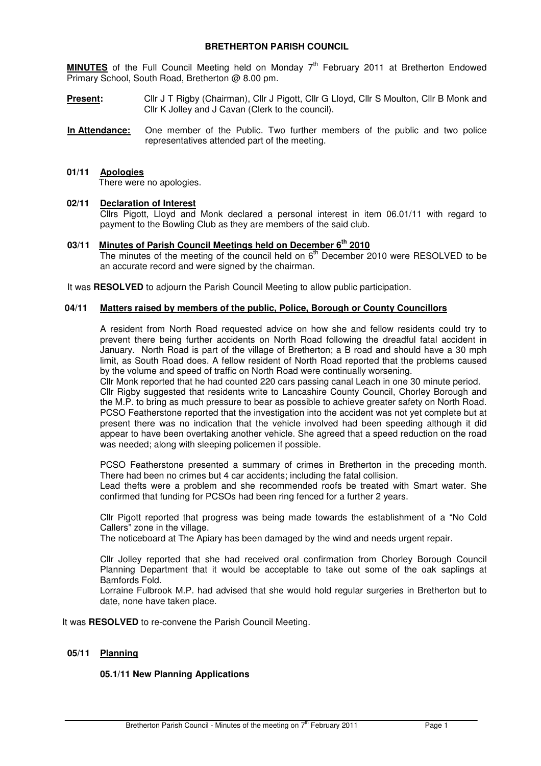#### **BRETHERTON PARISH COUNCIL**

MINUTES of the Full Council Meeting held on Monday 7<sup>th</sup> February 2011 at Bretherton Endowed Primary School, South Road, Bretherton @ 8.00 pm.

- **Present:** Cllr J T Rigby (Chairman), Cllr J Pigott, Cllr G Lloyd, Cllr S Moulton, Cllr B Monk and Cllr K Jolley and J Cavan (Clerk to the council).
- **In Attendance:** One member of the Public. Two further members of the public and two police representatives attended part of the meeting.

#### **01/11 Apologies**

There were no apologies.

#### **02/11 Declaration of Interest**

Cllrs Pigott, Lloyd and Monk declared a personal interest in item 06.01/11 with regard to payment to the Bowling Club as they are members of the said club.

#### **03/11 Minutes of Parish Council Meetings held on December 6th 2010**

The minutes of the meeting of the council held on  $6<sup>th</sup>$  December 2010 were RESOLVED to be an accurate record and were signed by the chairman.

It was **RESOLVED** to adjourn the Parish Council Meeting to allow public participation.

# **04/11 Matters raised by members of the public, Police, Borough or County Councillors**

A resident from North Road requested advice on how she and fellow residents could try to prevent there being further accidents on North Road following the dreadful fatal accident in January. North Road is part of the village of Bretherton; a B road and should have a 30 mph limit, as South Road does. A fellow resident of North Road reported that the problems caused by the volume and speed of traffic on North Road were continually worsening.

Cllr Monk reported that he had counted 220 cars passing canal Leach in one 30 minute period. Cllr Rigby suggested that residents write to Lancashire County Council, Chorley Borough and the M.P. to bring as much pressure to bear as possible to achieve greater safety on North Road. PCSO Featherstone reported that the investigation into the accident was not yet complete but at present there was no indication that the vehicle involved had been speeding although it did appear to have been overtaking another vehicle. She agreed that a speed reduction on the road was needed; along with sleeping policemen if possible.

PCSO Featherstone presented a summary of crimes in Bretherton in the preceding month. There had been no crimes but 4 car accidents; including the fatal collision.

Lead thefts were a problem and she recommended roofs be treated with Smart water. She confirmed that funding for PCSOs had been ring fenced for a further 2 years.

Cllr Pigott reported that progress was being made towards the establishment of a "No Cold Callers" zone in the village.

The noticeboard at The Apiary has been damaged by the wind and needs urgent repair.

Cllr Jolley reported that she had received oral confirmation from Chorley Borough Council Planning Department that it would be acceptable to take out some of the oak saplings at Bamfords Fold.

Lorraine Fulbrook M.P. had advised that she would hold regular surgeries in Bretherton but to date, none have taken place.

It was **RESOLVED** to re-convene the Parish Council Meeting.

#### **05/11 Planning**

#### **05.1/11 New Planning Applications**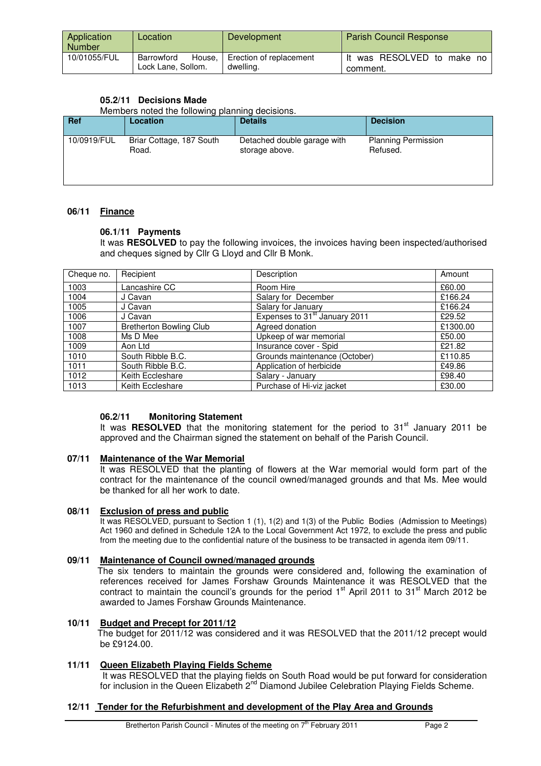| Application<br><b>Number</b> | Location                                   | Development                          | <b>Parish Council Response</b>         |
|------------------------------|--------------------------------------------|--------------------------------------|----------------------------------------|
| 10/01055/FUL                 | House.<br>Barrowford<br>Lock Lane, Sollom. | Erection of replacement<br>dwelling. | It was RESOLVED to make no<br>comment. |

# **05.2/11 Decisions Made**

| Members noted the following planning decisions. |                                   |                                               |                                        |  |  |  |
|-------------------------------------------------|-----------------------------------|-----------------------------------------------|----------------------------------------|--|--|--|
| Ref                                             | Location                          | <b>Details</b>                                | <b>Decision</b>                        |  |  |  |
| 10/0919/FUL                                     | Briar Cottage, 187 South<br>Road. | Detached double garage with<br>storage above. | <b>Planning Permission</b><br>Refused. |  |  |  |

# **06/11 Finance**

# **06.1/11 Payments**

It was **RESOLVED** to pay the following invoices, the invoices having been inspected/authorised and cheques signed by Cllr G Lloyd and Cllr B Monk.

| Cheque no. | Recipient                      | Description                               | Amount   |
|------------|--------------------------------|-------------------------------------------|----------|
| 1003       | Lancashire CC                  | Room Hire                                 | £60.00   |
| 1004       | J Cavan                        | Salary for December                       | £166.24  |
| 1005       | J Cavan                        | Salary for January                        | £166.24  |
| 1006       | J Cavan                        | Expenses to 31 <sup>st</sup> January 2011 | £29.52   |
| 1007       | <b>Bretherton Bowling Club</b> | Agreed donation                           | £1300.00 |
| 1008       | Ms D Mee                       | Upkeep of war memorial                    | £50.00   |
| 1009       | Aon Ltd                        | Insurance cover - Spid                    | £21.82   |
| 1010       | South Ribble B.C.              | Grounds maintenance (October)             | £110.85  |
| 1011       | South Ribble B.C.              | Application of herbicide                  | £49.86   |
| 1012       | Keith Eccleshare               | Salary - January                          | £98.40   |
| 1013       | Keith Eccleshare               | Purchase of Hi-viz jacket                 | £30.00   |

# **06.2/11 Monitoring Statement**

It was **RESOLVED** that the monitoring statement for the period to 31<sup>st</sup> January 2011 be approved and the Chairman signed the statement on behalf of the Parish Council.

## **07/11 Maintenance of the War Memorial**

It was RESOLVED that the planting of flowers at the War memorial would form part of the contract for the maintenance of the council owned/managed grounds and that Ms. Mee would be thanked for all her work to date.

## **08/11 Exclusion of press and public**

It was RESOLVED, pursuant to Section 1 (1), 1(2) and 1(3) of the Public Bodies (Admission to Meetings) Act 1960 and defined in Schedule 12A to the Local Government Act 1972, to exclude the press and public from the meeting due to the confidential nature of the business to be transacted in agenda item 09/11.

# **09/11 Maintenance of Council owned/managed grounds**

The six tenders to maintain the grounds were considered and, following the examination of references received for James Forshaw Grounds Maintenance it was RESOLVED that the contract to maintain the council's grounds for the period  $1<sup>st</sup>$  April 2011 to  $31<sup>st</sup>$  March 2012 be awarded to James Forshaw Grounds Maintenance.

# **10/11 Budget and Precept for 2011/12**

The budget for 2011/12 was considered and it was RESOLVED that the 2011/12 precept would be £9124.00.

# **11/11 Queen Elizabeth Playing Fields Scheme**

It was RESOLVED that the playing fields on South Road would be put forward for consideration for inclusion in the Queen Elizabeth 2<sup>nd</sup> Diamond Jubilee Celebration Playing Fields Scheme.

## **12/11 Tender for the Refurbishment and development of the Play Area and Grounds**